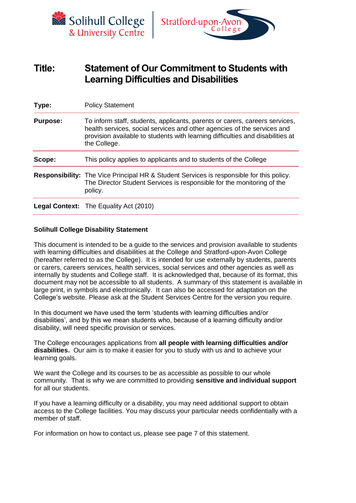



# **Title: Statement of Our Commitment to Students with Learning Difficulties and Disabilities**

| Type:           | <b>Policy Statement</b>                                                                                                                                                                                                                                  |  |  |  |
|-----------------|----------------------------------------------------------------------------------------------------------------------------------------------------------------------------------------------------------------------------------------------------------|--|--|--|
| <b>Purpose:</b> | To inform staff, students, applicants, parents or carers, careers services,<br>health services, social services and other agencies of the services and<br>provision available to students with learning difficulties and disabilities at<br>the College. |  |  |  |
| Scope:          | This policy applies to applicants and to students of the College                                                                                                                                                                                         |  |  |  |
|                 | <b>Responsibility:</b> The Vice Principal HR & Student Services is responsible for this policy.<br>The Director Student Services is responsible for the monitoring of the<br>policy.                                                                     |  |  |  |
|                 | <b>Legal Context:</b> The Equality Act (2010)                                                                                                                                                                                                            |  |  |  |

# **Solihull College Disability Statement**

This document is intended to be a guide to the services and provision available to students with learning difficulties and disabilities at the College and Stratford-upon-Avon College (hereafter referred to as the College). It is intended for use externally by students, parents or carers, careers services, health services, social services and other agencies as well as internally by students and College staff. It is acknowledged that, because of its format, this document may not be accessible to all students. A summary of this statement is available in large print, in symbols and electronically. It can also be accessed for adaptation on the College's website. Please ask at the Student Services Centre for the version you require.

In this document we have used the term 'students with learning difficulties and/or disabilities', and by this we mean students who, because of a learning difficulty and/or disability, will need specific provision or services.

The College encourages applications from **all people with learning difficulties and/or disabilities.** Our aim is to make it easier for you to study with us and to achieve your learning goals.

We want the College and its courses to be as accessible as possible to our whole community. That is why we are committed to providing **sensitive and individual support**  for all our students.

If you have a learning difficulty or a disability, you may need additional support to obtain access to the College facilities. You may discuss your particular needs confidentially with a member of staff.

For information on how to contact us, please see page 7 of this statement.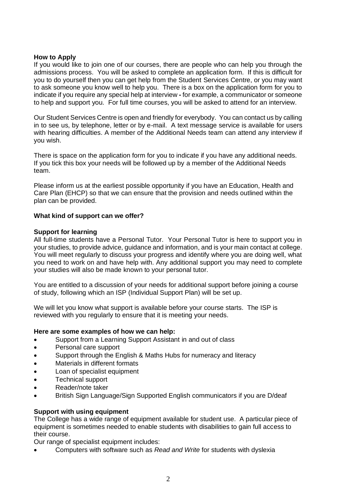## **How to Apply**

If you would like to join one of our courses, there are people who can help you through the admissions process. You will be asked to complete an application form. If this is difficult for you to do yourself then you can get help from the Student Services Centre, or you may want to ask someone you know well to help you. There is a box on the application form for you to indicate if you require any special help at interview **-** for example, a communicator or someone to help and support you*.* For full time courses, you will be asked to attend for an interview.

Our Student Services Centre is open and friendly for everybody. You can contact us by calling in to see us, by telephone, letter or by e-mail. A text message service is available for users with hearing difficulties. A member of the Additional Needs team can attend any interview if you wish.

There is space on the application form for you to indicate if you have any additional needs. If you tick this box your needs will be followed up by a member of the Additional Needs team.

Please inform us at the earliest possible opportunity if you have an Education, Health and Care Plan (EHCP) so that we can ensure that the provision and needs outlined within the plan can be provided.

## **What kind of support can we offer?**

## **Support for learning**

All full-time students have a Personal Tutor. Your Personal Tutor is here to support you in your studies, to provide advice, guidance and information, and is your main contact at college. You will meet regularly to discuss your progress and identify where you are doing well, what you need to work on and have help with. Any additional support you may need to complete your studies will also be made known to your personal tutor.

You are entitled to a discussion of your needs for additional support before joining a course of study, following which an ISP (Individual Support Plan) will be set up.

We will let you know what support is available before your course starts. The ISP is reviewed with you regularly to ensure that it is meeting your needs.

#### **Here are some examples of how we can help:**

- Support from a Learning Support Assistant in and out of class
- Personal care support
- Support through the English & Maths Hubs for numeracy and literacy
- Materials in different formats
- Loan of specialist equipment
- Technical support
- Reader/note taker
- British Sign Language/Sign Supported English communicators if you are D/deaf

# **Support with using equipment**

The College has a wide range of equipment available for student use. A particular piece of equipment is sometimes needed to enable students with disabilities to gain full access to their course.

Our range of specialist equipment includes:

• Computers with software such as *Read and Write* for students with dyslexia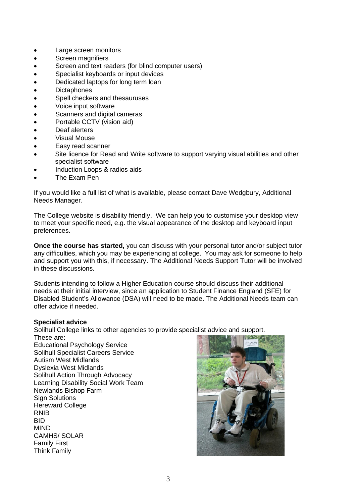- Large screen monitors
- Screen magnifiers
- Screen and text readers (for blind computer users)
- Specialist keyboards or input devices
- Dedicated laptops for long term loan
- **Dictaphones**
- Spell checkers and thesauruses
- Voice input software
- Scanners and digital cameras
- Portable CCTV (vision aid)
- Deaf alerters
- Visual Mouse
- Easy read scanner
- Site licence for Read and Write software to support varying visual abilities and other specialist software
- Induction Loops & radios aids
- The Exam Pen

If you would like a full list of what is available, please contact Dave Wedgbury, Additional Needs Manager.

The College website is disability friendly. We can help you to customise your desktop view to meet your specific need, e.g. the visual appearance of the desktop and keyboard input preferences.

**Once the course has started,** you can discuss with your personal tutor and/or subject tutor any difficulties, which you may be experiencing at college. You may ask for someone to help and support you with this, if necessary. The Additional Needs Support Tutor will be involved in these discussions.

Students intending to follow a Higher Education course should discuss their additional needs at their initial interview, since an application to Student Finance England (SFE) for Disabled Student's Allowance (DSA) will need to be made. The Additional Needs team can offer advice if needed.

# **Specialist advice**

Solihull College links to other agencies to provide specialist advice and support.

These are: Educational Psychology Service Solihull Specialist Careers Service Autism West Midlands Dyslexia West Midlands Solihull Action Through Advocacy Learning Disability Social Work Team Newlands Bishop Farm **Sign Solutions** Hereward College RNIB BID MIND CAMHS/ SOLAR Family First Think Family

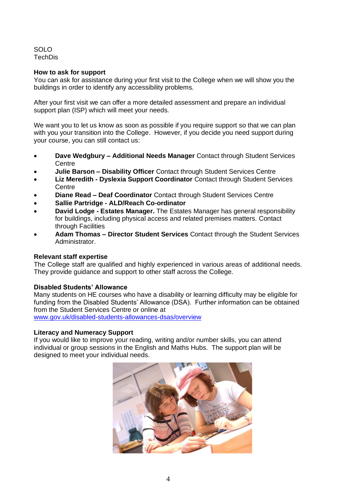SOLO **TechDis** 

## **How to ask for support**

You can ask for assistance during your first visit to the College when we will show you the buildings in order to identify any accessibility problems.

After your first visit we can offer a more detailed assessment and prepare an individual support plan (ISP) which will meet your needs.

We want you to let us know as soon as possible if you require support so that we can plan with you your transition into the College. However, if you decide you need support during your course, you can still contact us:

- **Dave Wedgbury – Additional Needs Manager** Contact through Student Services **Centre**
- **Julie Barson – Disability Officer** Contact through Student Services Centre
- **Liz Meredith - Dyslexia Support Coordinator** Contact through Student Services **Centre**
- **Diane Read – Deaf Coordinator** Contact through Student Services Centre
- **Sallie Partridge - ALD/Reach Co-ordinator**
- **David Lodge - Estates Manager.** The Estates Manager has general responsibility for buildings, including physical access and related premises matters. Contact through Facilities
- **Adam Thomas – Director Student Services** Contact through the Student Services Administrator.

#### **Relevant staff expertise**

The College staff are qualified and highly experienced in various areas of additional needs. They provide guidance and support to other staff across the College.

# **Disabled Students' Allowance**

Many students on HE courses who have a disability or learning difficulty may be eligible for funding from the Disabled Students' Allowance (DSA). Further information can be obtained from the Student Services Centre or online at [www.gov.uk/disabled-students-allowances-dsas/overview](http://www.gov.uk/disabled-students-allowances-dsas/overview)

#### **Literacy and Numeracy Support**

If you would like to improve your reading, writing and/or number skills, you can attend individual or group sessions in the English and Maths Hubs. The support plan will be designed to meet your individual needs.

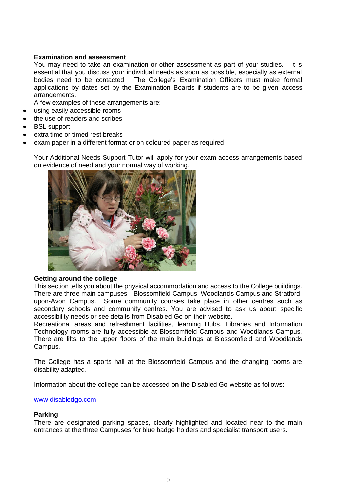# **Examination and assessment**

You may need to take an examination or other assessment as part of your studies. It is essential that you discuss your individual needs as soon as possible, especially as external bodies need to be contacted. The College's Examination Officers must make formal applications by dates set by the Examination Boards if students are to be given access arrangements.

A few examples of these arrangements are:

- using easily accessible rooms
- the use of readers and scribes
- **BSL** support
- extra time or timed rest breaks
- exam paper in a different format or on coloured paper as required

Your Additional Needs Support Tutor will apply for your exam access arrangements based on evidence of need and your normal way of working.



#### **Getting around the college**

This section tells you about the physical accommodation and access to the College buildings. There are three main campuses - Blossomfield Campus, Woodlands Campus and Stratfordupon-Avon Campus. Some community courses take place in other centres such as secondary schools and community centres. You are advised to ask us about specific accessibility needs or see details from Disabled Go on their website.

Recreational areas and refreshment facilities, learning Hubs, Libraries and Information Technology rooms are fully accessible at Blossomfield Campus and Woodlands Campus. There are lifts to the upper floors of the main buildings at Blossomfield and Woodlands Campus.

The College has a sports hall at the Blossomfield Campus and the changing rooms are disability adapted.

Information about the college can be accessed on the Disabled Go website as follows:

#### [www.disabledgo.com](http://www.disabledgo.com/)

#### **Parking**

There are designated parking spaces, clearly highlighted and located near to the main entrances at the three Campuses for blue badge holders and specialist transport users.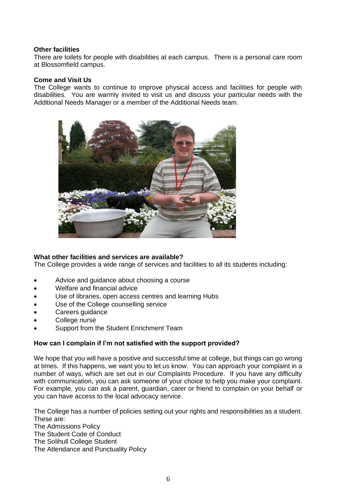## **Other facilities**

There are toilets for people with disabilities at each campus. There is a personal care room at Blossomfield campus.

## **Come and Visit Us**

The College wants to continue to improve physical access and facilities for people with disabilities. You are warmly invited to visit us and discuss your particular needs with the Additional Needs Manager or a member of the Additional Needs team.



# **What other facilities and services are available?**

The College provides a wide range of services and facilities to all its students including:

- Advice and guidance about choosing a course
- Welfare and financial advice
- Use of libraries, open access centres and learning Hubs
- Use of the College counselling service
- Careers quidance
- College nurse
- Support from the Student Enrichment Team

# **How can I complain if I'm not satisfied with the support provided?**

We hope that you will have a positive and successful time at college, but things can go wrong at times. If this happens, we want you to let us know. You can approach your complaint in a number of ways, which are set out in our Complaints Procedure. If you have any difficulty with communication, you can ask someone of your choice to help you make your complaint. For example, you can ask a parent, guardian, carer or friend to complain on your behalf or you can have access to the local advocacy service.

The College has a number of policies setting out your rights and responsibilities as a student. These are:

The Admissions Policy The Student Code of Conduct The Solihull College Student

The Attendance and Punctuality Policy